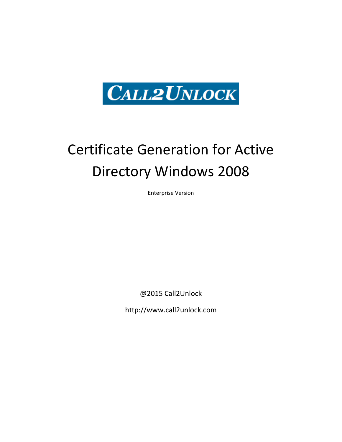

# Certificate Generation for Active Directory Windows 2008

Enterprise Version

@2015 Call2Unlock

http://www.call2unlock.com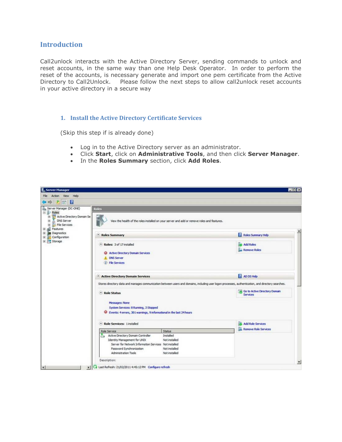### **Introduction**

Call2unlock interacts with the Active Directory Server, sending commands to unlock and reset accounts, in the same way than one Help Desk Operator. In order to perform the reset of the accounts, is necessary generate and import one pem certificate from the Active Directory to Call2Unlock. Please follow the next steps to allow call2unlock reset accounts in your active directory in a secure way

#### **1. Install the Active Directory Certificate Services**

(Skip this step if is already done)

- Log in to the Active Directory server as an administrator.
- Click **Start**, click on **Administrative Tools**, and then click **Server Manager**.
- In the **Roles Summary** section, click **Add Roles**.

| File Action View Help<br>$2$ $\sqrt{2}$<br>Server Manager (DC-ONE)<br><b>Roles</b><br><b>B</b> Roles<br>Active Directory Domain Se<br>田<br>DNS Server<br>田<br>E File Services<br>Features<br>⊛<br>⊛<br><b>Diagnostics</b><br>A Roles Summary<br>E Configuration | View the health of the roles installed on your server and add or remove roles and features.                                                                                                               |
|-----------------------------------------------------------------------------------------------------------------------------------------------------------------------------------------------------------------------------------------------------------------|-----------------------------------------------------------------------------------------------------------------------------------------------------------------------------------------------------------|
|                                                                                                                                                                                                                                                                 |                                                                                                                                                                                                           |
|                                                                                                                                                                                                                                                                 |                                                                                                                                                                                                           |
|                                                                                                                                                                                                                                                                 |                                                                                                                                                                                                           |
|                                                                                                                                                                                                                                                                 | Roles Summary Help                                                                                                                                                                                        |
| El Storage<br>Roles: 3 of 17 installed<br><b>63</b> Active Directory Domain Services<br><b>A.</b> DNS Server<br><b><i>CD</i></b> File Services                                                                                                                  | ing Add Roles<br><b>Remove Roles</b>                                                                                                                                                                      |
| Active Directory Domain Services                                                                                                                                                                                                                                | AD DS Help                                                                                                                                                                                                |
| A Role Status<br>Messages: None<br>System Services: 8 Running, 2 Stopped<br>C Events: 4 errors, 301 warnings, 9 informational in the last 24 hours                                                                                                              | Stores directory data and manages communication between users and domains, including user logon processes, authentication, and directory searches.<br>es Go to Active Directory Domain<br><b>Services</b> |
| A Role Services: 1 installed                                                                                                                                                                                                                                    | Add Role Services                                                                                                                                                                                         |
| Role Service<br>Active Directory Domain Controller<br><b>Identity Management for UNIX</b><br>Server for Network Information Services Not installed<br>Password Synchronization<br>Administration Tools                                                          | <b>Remove Role Services</b><br>Status<br>Installed<br>Not installed<br>Not installed<br>Not installed                                                                                                     |
| Description:<br>Last Refresh: 21/02/2011 4:45:12 PM Configure refresh<br>$\left  \cdot \right $                                                                                                                                                                 |                                                                                                                                                                                                           |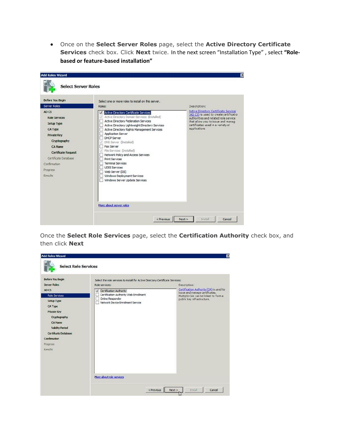Once on the **Select Server Roles** page, select the **Active Directory Certificate Services** check box. Click **Next** twice. In the next screen "Installation Type" , select **"Rolebased or feature-based installation"**

| <b>Before You Begin</b>                                                                                                                                                                  | Select one or more roles to install on this server.                                                                                                                                                                                                                                                                                                                                                                                                                         |                                                                                                                                                                          |
|------------------------------------------------------------------------------------------------------------------------------------------------------------------------------------------|-----------------------------------------------------------------------------------------------------------------------------------------------------------------------------------------------------------------------------------------------------------------------------------------------------------------------------------------------------------------------------------------------------------------------------------------------------------------------------|--------------------------------------------------------------------------------------------------------------------------------------------------------------------------|
| Server Roles<br>AD CS                                                                                                                                                                    | Roles:                                                                                                                                                                                                                                                                                                                                                                                                                                                                      | Description:<br><b>Active Directory Certificate Services</b>                                                                                                             |
| <b>Role Services</b><br>Setup Type<br><b>CA Type</b><br><b>Private Key</b><br>Cryptography<br>CA Name<br><b>Certificate Request</b><br>Certificate Database<br>Confirmation:<br>Progress | Active Directory Certificate Services<br>Active Directory Domain Services (Installed)<br>Active Directory Federation Services<br>Active Directory Lightweight Directory Services<br>Active Directory Rights Management Services<br>Application Server<br><b>DHCP Server</b><br>DNS Server (Installed)<br>u<br>Fax Server<br>V File Services (Installed)<br>Network Policy and Access Services<br><b>Print Services</b><br><b>Terminal Services</b><br><b>LIDDI Services</b> | (AD CS) is used to create certificatio<br>authorities and related role service<br>that allow you to issue and manag<br>certificates used in a variety of<br>applications |
| Results                                                                                                                                                                                  | Web Server (IIS)<br>Windows Deployment Services<br>Windows Server Update Services                                                                                                                                                                                                                                                                                                                                                                                           |                                                                                                                                                                          |

Once the **Select Role Services** page, select the **Certification Authority** check box, and then click **Next**

| <b>Before You Begin</b><br><b>Server Roles</b><br>AD CS<br><b>Role Services</b><br>Setup Type<br>CA Type<br><b>Private Key</b><br>Cryptography<br>CA Name<br><b>Validity Period</b><br>Certificate Database<br>Confirmation<br>Progress<br>Regults | Select the role services to install for Active Directory Certificate Services:<br>Role services:<br>Certification Authority<br>Certification Authority Web Enrollment<br>Online Responder<br>Network Device Enrollment Service | Description:<br>Certification Authority (CA) is used to<br>issue and manage certificates.<br>Multiple CAs can be linked to form a<br>public key infrastructure. |
|----------------------------------------------------------------------------------------------------------------------------------------------------------------------------------------------------------------------------------------------------|--------------------------------------------------------------------------------------------------------------------------------------------------------------------------------------------------------------------------------|-----------------------------------------------------------------------------------------------------------------------------------------------------------------|
|                                                                                                                                                                                                                                                    | More about role services<br>< Previous                                                                                                                                                                                         | Next<br>Install<br>Cancel                                                                                                                                       |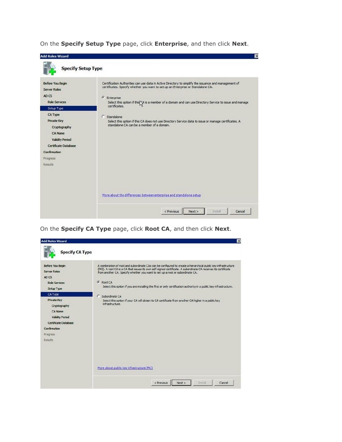On the **Specify Setup Type** page, click **Enterprise**, and then click **Next**.

| <b>Add Roles Wizard</b><br><b>Specify Setup Type</b>                                                                                                                                                                                                      | IX                                                                                                                                                                                                                                                                                                                                                                                                                                                                                                                        |
|-----------------------------------------------------------------------------------------------------------------------------------------------------------------------------------------------------------------------------------------------------------|---------------------------------------------------------------------------------------------------------------------------------------------------------------------------------------------------------------------------------------------------------------------------------------------------------------------------------------------------------------------------------------------------------------------------------------------------------------------------------------------------------------------------|
| <b>Before You Begin</b><br><b>Server Roles</b><br>AD CS<br><b>Role Services</b><br>Setup Type<br>CA Type<br><b>Private Key</b><br>Cryptography<br><b>CA Name</b><br><b>Validity Period</b><br>Certificate Database<br>Confirmation<br>Progress<br>Results | Certification Authorities can use data in Active Directory to simplify the issuance and management of<br>certificates. Specify whether you want to set up an Enterprise or Standalone CA.<br><b><i>C</i></b> Enterprise<br>Select this option if this \A is a member of a domain and can use Directory Service to issue and manage<br>certificates.<br>C Standalone<br>Select this option if this CA does not use Directory Service data to issue or manage certificates. A<br>standalone CA can be a member of a domain. |
|                                                                                                                                                                                                                                                           | More about the differences between enterprise and standalone setup                                                                                                                                                                                                                                                                                                                                                                                                                                                        |
|                                                                                                                                                                                                                                                           | Next<br>Install<br>< Previous<br>Cancel                                                                                                                                                                                                                                                                                                                                                                                                                                                                                   |

On the **Specify CA Type** page, click **Root CA**, and then click **Next**.

| <b>Add Roles Wizard</b>                                                                                                                                                                                                                            | $\boldsymbol{\mathsf{x}}$                                                                                                                                                                                                                                                                                                                                                                                                                                                                                                                                                                                  |
|----------------------------------------------------------------------------------------------------------------------------------------------------------------------------------------------------------------------------------------------------|------------------------------------------------------------------------------------------------------------------------------------------------------------------------------------------------------------------------------------------------------------------------------------------------------------------------------------------------------------------------------------------------------------------------------------------------------------------------------------------------------------------------------------------------------------------------------------------------------------|
| <b>Specify CA Type</b>                                                                                                                                                                                                                             |                                                                                                                                                                                                                                                                                                                                                                                                                                                                                                                                                                                                            |
| <b>Before You Begin</b><br><b>Server Roles</b><br>AD CS<br><b>Role Services</b><br>Setup Type<br>CA Type<br><b>Private Key</b><br>Cryptography<br>CA Name<br><b>Validity Period</b><br>Certificate Database<br>Confirmation<br>Progress<br>Results | A combination of root and subordinate CAs can be configured to create a hierarchical public key infrastructure<br>(PKI). A root CA is a CA that issues its own self-signed certificate. A subordinate CA receives its certificate<br>from another CA. Specify whether you want to set up a root or subordinate CA.<br><b>G</b> Root CA<br>Select this option if you are installing the first or only certification authority in a public key infrastructure.<br>C Subordinate CA<br>Select this option if your CA will obtain its CA certificate from another CA higher in a public key<br>infrastructure. |
|                                                                                                                                                                                                                                                    | More about public key infrastructure (PKI)                                                                                                                                                                                                                                                                                                                                                                                                                                                                                                                                                                 |
|                                                                                                                                                                                                                                                    | Install<br>Next<br>< Previous<br>Cancel                                                                                                                                                                                                                                                                                                                                                                                                                                                                                                                                                                    |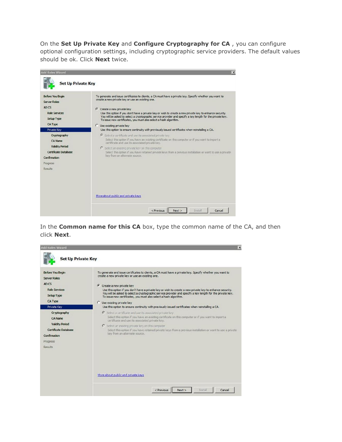On the **Set Up Private Key** and **Configure Cryptography for CA** , you can configure optional configuration settings, including cryptographic service providers. The default values should be ok. Click **Next** twice.

| <b>Add Roles Wizard</b>                                                                                                 | $\mathsf{x}$                                                                                                                                                                                                                                                                                                                                                                                                                                                                                                          |
|-------------------------------------------------------------------------------------------------------------------------|-----------------------------------------------------------------------------------------------------------------------------------------------------------------------------------------------------------------------------------------------------------------------------------------------------------------------------------------------------------------------------------------------------------------------------------------------------------------------------------------------------------------------|
| <b>Set Up Private Key</b>                                                                                               |                                                                                                                                                                                                                                                                                                                                                                                                                                                                                                                       |
| <b>Before You Begin</b><br><b>Server Roles</b><br>AD CS<br><b>Role Services</b><br>Setup Type<br>CA Type                | To generate and issue certificates to clients, a CA must have a private key. Specify whether you want to<br>create a new private key or use an existing one.<br>Create a new private key<br>Use this option if you don't have a private key or wish to create a new private key to enhance security.<br>You will be asked to select a cryptographic service provider and specify a key length for the private key.<br>To issue new certificates, you must also select a hash algorithm.<br>C Use existing private key |
| Private Key                                                                                                             | Use this option to ensure continuity with previously issued certificates when reinstalling a CA.                                                                                                                                                                                                                                                                                                                                                                                                                      |
| Cryptography<br><b>CA Name</b><br><b>Validity Period</b><br>Certificate Database<br>Confirmation<br>Progress<br>Results | C Select a certificate and use its associated private key<br>Select this option if you have an existing certificate on this computer or if you want to import a<br>certificate and use its associated private key.<br>C Select an existing private key on this computer.<br>Select this option if you have retained private keys from a previous installation or want to use a private<br>key from an alternate source.                                                                                               |
|                                                                                                                         | More about public and private keys                                                                                                                                                                                                                                                                                                                                                                                                                                                                                    |
|                                                                                                                         | Next<br>Install<br>< Previous<br>Cancel                                                                                                                                                                                                                                                                                                                                                                                                                                                                               |

In the **Common name for this CA** box, type the common name of the CA, and then click **Next**.

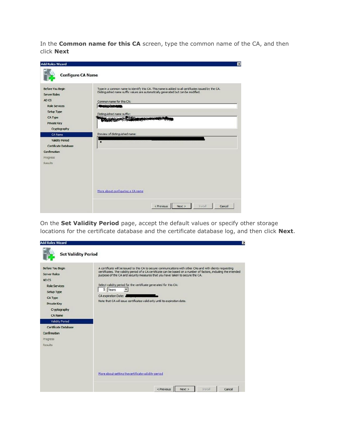In the **Common name for this CA** screen, type the common name of the CA, and then click **Next**

| <b>Add Roles Wizard</b>                                                                                                                 | $\overline{\mathbf{x}}$                                                                                                                                                                                                                                                                                                                                                                                                                                                                                   |
|-----------------------------------------------------------------------------------------------------------------------------------------|-----------------------------------------------------------------------------------------------------------------------------------------------------------------------------------------------------------------------------------------------------------------------------------------------------------------------------------------------------------------------------------------------------------------------------------------------------------------------------------------------------------|
| <b>Configure CA Name</b>                                                                                                                |                                                                                                                                                                                                                                                                                                                                                                                                                                                                                                           |
| <b>Before You Begin</b><br><b>Server Roles</b><br>AD CS<br><b>Role Services</b><br>Setup Type<br>CA Type<br>Private Key<br>Cryptography | Type in a common name to identify this CA. This name is added to all certificates issued by the CA.<br>Distinguished name suffix values are automatically generated but can be modified.<br>Common name for this CA:<br>14103141911<br>Distinguished name suffix:<br><b>March 1989 Comment Comment Comment Comment Comment Comment Comment Comment Comment Comment Comment Comment Comment Comment Comment Comment Comment Comment Comment Comment Comment Comment Comment Comment Comment Comment Co</b> |
| CA Name<br><b>Validity Period</b><br>Certificate Database<br>Confirmation<br>Progress<br>Results                                        | Preview of distinguished name:<br>$\bullet$<br>More about configuring a CA name                                                                                                                                                                                                                                                                                                                                                                                                                           |
|                                                                                                                                         | Next<br>Install<br>Cancel<br>< Previous                                                                                                                                                                                                                                                                                                                                                                                                                                                                   |

On the **Set Validity Period** page, accept the default values or specify other storage locations for the certificate database and the certificate database log, and then click **Next**.

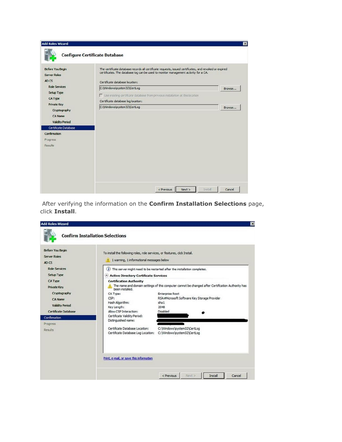| <b>Before You Begin</b><br><b>Server Roles</b><br>AD CS                                         | The certificate database records all certificate requests, issued certificates, and revoked or expired<br>certificates. The database log can be used to monitor management activity for a CA.<br>Certificate database location: |        |
|-------------------------------------------------------------------------------------------------|---------------------------------------------------------------------------------------------------------------------------------------------------------------------------------------------------------------------------------|--------|
| <b>Role Services</b><br>Setup Type<br>CA Type                                                   | C:\Windows\system32\CertLog<br>Use existing certificate database from previous installation at this location<br>Certificate database log location:                                                                              | Browse |
| <b>Private Key</b><br>Cryptography<br>CA Name<br><b>Validity Period</b><br>Certificate Database | C:\Windows\system32\CertLog                                                                                                                                                                                                     | Browse |
| Confirmation<br>Progress<br><b>Results</b>                                                      |                                                                                                                                                                                                                                 |        |

After verifying the information on the **Confirm Installation Selections** page, click **Install**.